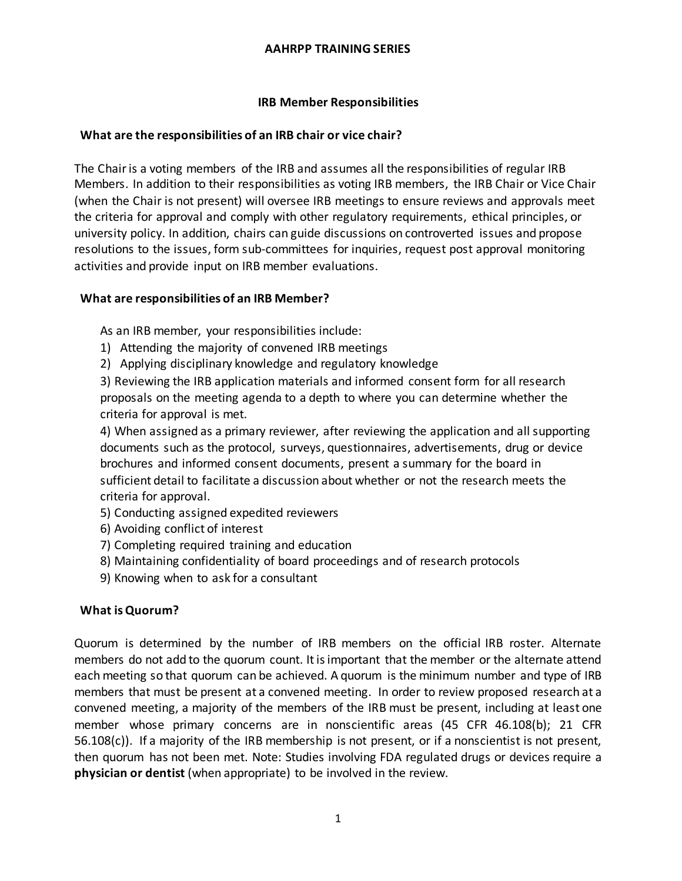## **IRB Member Responsibilities**

## **What are the responsibilities of an IRB chair or vice chair?**

The Chair is a voting members of the IRB and assumes all the responsibilities of regular IRB Members. In addition to their responsibilities as voting IRB members, the IRB Chair or Vice Chair (when the Chair is not present) will oversee IRB meetings to ensure reviews and approvals meet the criteria for approval and comply with other regulatory requirements, ethical principles, or university policy. In addition, chairs can guide discussions on controverted issues and propose resolutions to the issues, form sub-committees for inquiries, request post approval monitoring activities and provide input on IRB member evaluations.

### **What are responsibilities of an IRB Member?**

As an IRB member, your responsibilities include:

- 1) Attending the majority of convened IRB meetings
- 2) Applying disciplinary knowledge and regulatory knowledge

3) Reviewing the IRB application materials and informed consent form for all research proposals on the meeting agenda to a depth to where you can determine whether the criteria for approval is met.

4) When assigned as a primary reviewer, after reviewing the application and all supporting documents such as the protocol, surveys, questionnaires, advertisements, drug or device brochures and informed consent documents, present a summary for the board in sufficient detail to facilitate a discussion about whether or not the research meets the criteria for approval.

- 5) Conducting assigned expedited reviewers
- 6) Avoiding conflict of interest
- 7) Completing required training and education
- 8) Maintaining confidentiality of board proceedings and of research protocols
- 9) Knowing when to ask for a consultant

### **What is Quorum?**

Quorum is determined by the number of IRB members on the official IRB roster. Alternate members do not add to the quorum count. It is important that the member or the alternate attend each meeting so that quorum can be achieved. A quorum is the minimum number and type of IRB members that must be present at a convened meeting. In order to review proposed research at a convened meeting, a majority of the members of the IRB must be present, including at least one member whose primary concerns are in nonscientific areas (45 CFR 46.108(b); 21 CFR 56.108(c)). If a majority of the IRB membership is not present, or if a nonscientist is not present, then quorum has not been met. Note: Studies involving FDA regulated drugs or devices require a **physician or dentist** (when appropriate) to be involved in the review.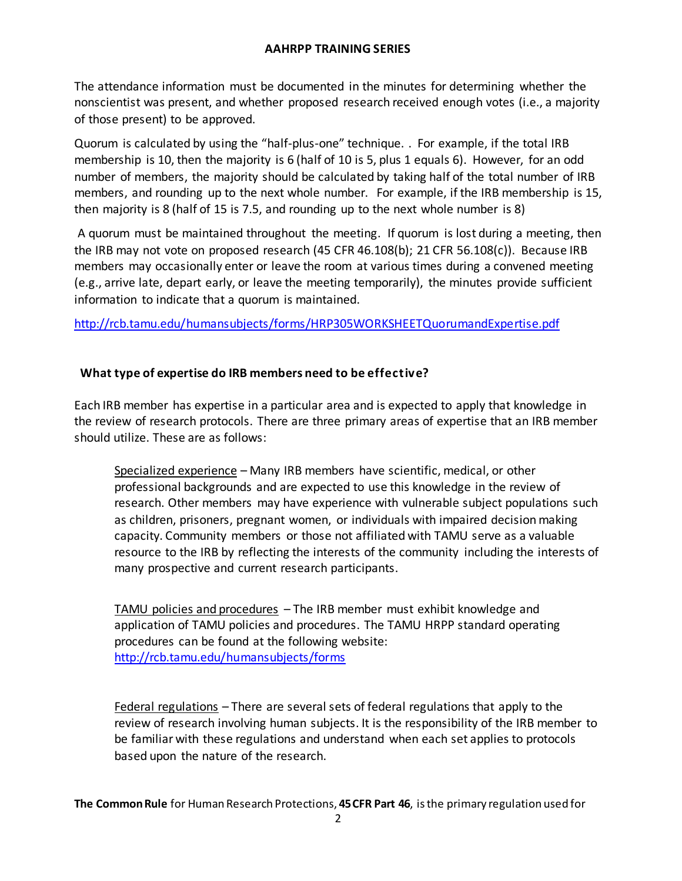The attendance information must be documented in the minutes for determining whether the nonscientist was present, and whether proposed research received enough votes (i.e., a majority of those present) to be approved.

Quorum is calculated by using the "half-plus-one" technique. . For example, if the total IRB membership is 10, then the majority is 6 (half of 10 is 5, plus 1 equals 6). However, for an odd number of members, the majority should be calculated by taking half of the total number of IRB members, and rounding up to the next whole number. For example, if the IRB membership is 15, then majority is 8 (half of 15 is 7.5, and rounding up to the next whole number is 8)

A quorum must be maintained throughout the meeting. If quorum is lost during a meeting, then the IRB may not vote on proposed research (45 CFR 46.108(b); 21 CFR 56.108(c)). Because IRB members may occasionally enter or leave the room at various times during a convened meeting (e.g., arrive late, depart early, or leave the meeting temporarily), the minutes provide sufficient information to indicate that a quorum is maintained.

<http://rcb.tamu.edu/humansubjects/forms/HRP305WORKSHEETQuorumandExpertise.pdf>

## **What type of expertise do IRB members need to be effective?**

Each IRB member has expertise in a particular area and is expected to apply that knowledge in the review of research protocols. There are three primary areas of expertise that an IRB member should utilize. These are as follows:

Specialized experience – Many IRB members have scientific, medical, or other professional backgrounds and are expected to use this knowledge in the review of research. Other members may have experience with vulnerable subject populations such as children, prisoners, pregnant women, or individuals with impaired decision making capacity. Community members or those not affiliated with TAMU serve as a valuable resource to the IRB by reflecting the interests of the community including the interests of many prospective and current research participants.

TAMU policies and procedures – The IRB member must exhibit knowledge and application of TAMU policies and procedures. The TAMU HRPP standard operating procedures can be found at the following website: <http://rcb.tamu.edu/humansubjects/forms>

Federal regulations – There are several sets of federal regulations that apply to the review of research involving human subjects. It is the responsibility of the IRB member to be familiar with these regulations and understand when each set applies to protocols based upon the nature of the research.

**The Common Rule** for Human Research Protections, **45 CFR Part 46**, is the primary regulation used for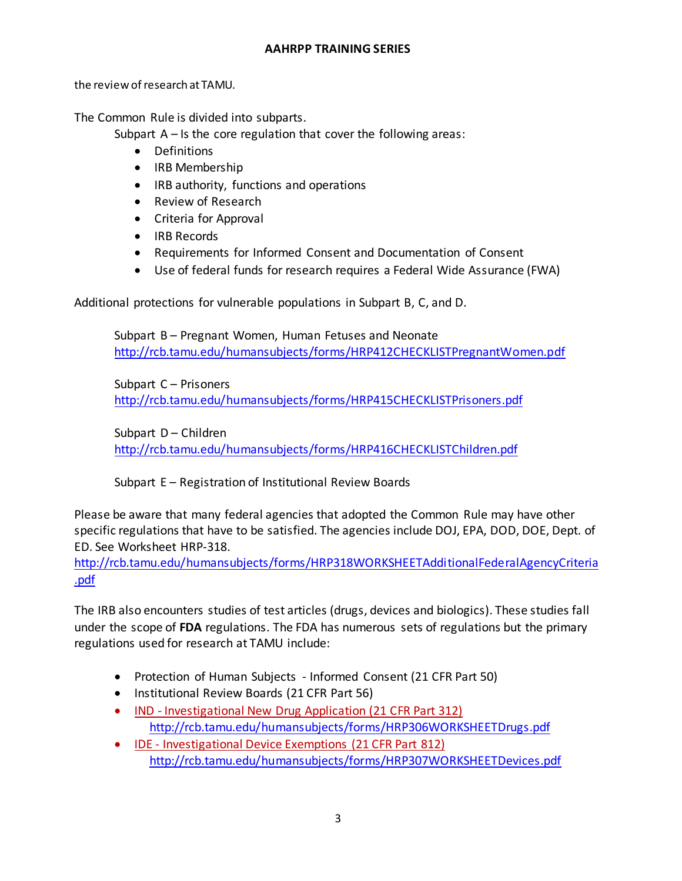the review of research at TAMU.

The Common Rule is divided into subparts.

Subpart  $A - Is$  the core regulation that cover the following areas:

- Definitions
- IRB Membership
- IRB authority, functions and operations
- Review of Research
- Criteria for Approval
- IRB Records
- Requirements for Informed Consent and Documentation of Consent
- Use of federal funds for research requires a Federal Wide Assurance (FWA)

Additional protections for vulnerable populations in Subpart B, C, and D.

Subpart B – Pregnant Women, Human Fetuses and Neonate <http://rcb.tamu.edu/humansubjects/forms/HRP412CHECKLISTPregnantWomen.pdf>

Subpart C – Prisoners <http://rcb.tamu.edu/humansubjects/forms/HRP415CHECKLISTPrisoners.pdf>

Subpart D – Children <http://rcb.tamu.edu/humansubjects/forms/HRP416CHECKLISTChildren.pdf>

Subpart E – Registration of Institutional Review Boards

Please be aware that many federal agencies that adopted the Common Rule may have other specific regulations that have to be satisfied. The agencies include DOJ, EPA, DOD, DOE, Dept. of ED. See Worksheet HRP-318.

[http://rcb.tamu.edu/humansubjects/forms/HRP318WORKSHEETAdditionalFederalAgencyCriteria](http://rcb.tamu.edu/humansubjects/forms/HRP318WORKSHEETAdditionalFederalAgencyCriteria.pdf) [.pdf](http://rcb.tamu.edu/humansubjects/forms/HRP318WORKSHEETAdditionalFederalAgencyCriteria.pdf)

The IRB also encounters studies of test articles (drugs, devices and biologics). These studies fall under the scope of **FDA** regulations. The FDA has numerous sets of regulations but the primary regulations used for research at TAMU include:

- Protection of Human Subjects Informed Consent (21 CFR Part 50)
- Institutional Review Boards (21 CFR Part 56)
- IND [Investigational New Drug Application \(21 CFR Part 312\)](http://www.accessdata.fda.gov/scripts/cdrh/cfdocs/cfcfr/CFRsearch.cfm?CFRPart=312) <http://rcb.tamu.edu/humansubjects/forms/HRP306WORKSHEETDrugs.pdf>
- [IDE -](http://www.accessdata.fda.gov/scripts/cdrh/cfdocs/cfcfr/CFRSearch.cfm?CFRPart=812) [Investigational](http://www.accessdata.fda.gov/scripts/cdrh/cfdocs/cfcfr/CFRSearch.cfm?CFRPart=812) [Device](http://www.accessdata.fda.gov/scripts/cdrh/cfdocs/cfcfr/CFRSearch.cfm?CFRPart=812) [Exemptions \(21 CFR Part 812\)](http://www.accessdata.fda.gov/scripts/cdrh/cfdocs/cfcfr/CFRSearch.cfm?CFRPart=812) <http://rcb.tamu.edu/humansubjects/forms/HRP307WORKSHEETDevices.pdf>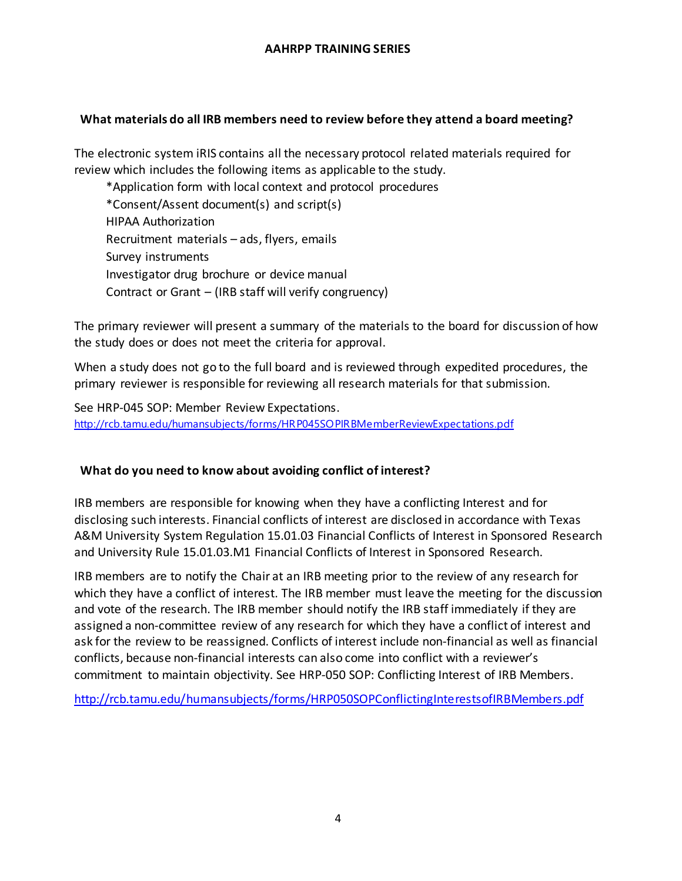## **What materials do all IRB members need to review before they attend a board meeting?**

The electronic system iRIS contains all the necessary protocol related materials required for review which includes the following items as applicable to the study.

\*Application form with local context and protocol procedures \*Consent/Assent document(s) and script(s) HIPAA Authorization Recruitment materials – ads, flyers, emails Survey instruments Investigator drug brochure or device manual Contract or Grant – (IRB staff will verify congruency)

The primary reviewer will present a summary of the materials to the board for discussion of how the study does or does not meet the criteria for approval.

When a study does not go to the full board and is reviewed through expedited procedures, the primary reviewer is responsible for reviewing all research materials for that submission.

See HRP-045 SOP: Member Review Expectations. <http://rcb.tamu.edu/humansubjects/forms/HRP045SOPIRBMemberReviewExpectations.pdf>

### **What do you need to know about avoiding conflict of interest?**

IRB members are responsible for knowing when they have a conflicting Interest and for disclosing such interests. Financial conflicts of interest are disclosed in accordance with Texas A&M University System Regulation 15.01.03 Financial Conflicts of Interest in Sponsored Research and University Rule 15.01.03.M1 Financial Conflicts of Interest in Sponsored Research.

IRB members are to notify the Chair at an IRB meeting prior to the review of any research for which they have a conflict of interest. The IRB member must leave the meeting for the discussion and vote of the research. The IRB member should notify the IRB staff immediately if they are assigned a non-committee review of any research for which they have a conflict of interest and ask for the review to be reassigned. Conflicts of interest include non-financial as well as financial conflicts, because non-financial interests can also come into conflict with a reviewer's commitment to maintain objectivity. See HRP-050 SOP: Conflicting Interest of IRB Members.

<http://rcb.tamu.edu/humansubjects/forms/HRP050SOPConflictingInterestsofIRBMembers.pdf>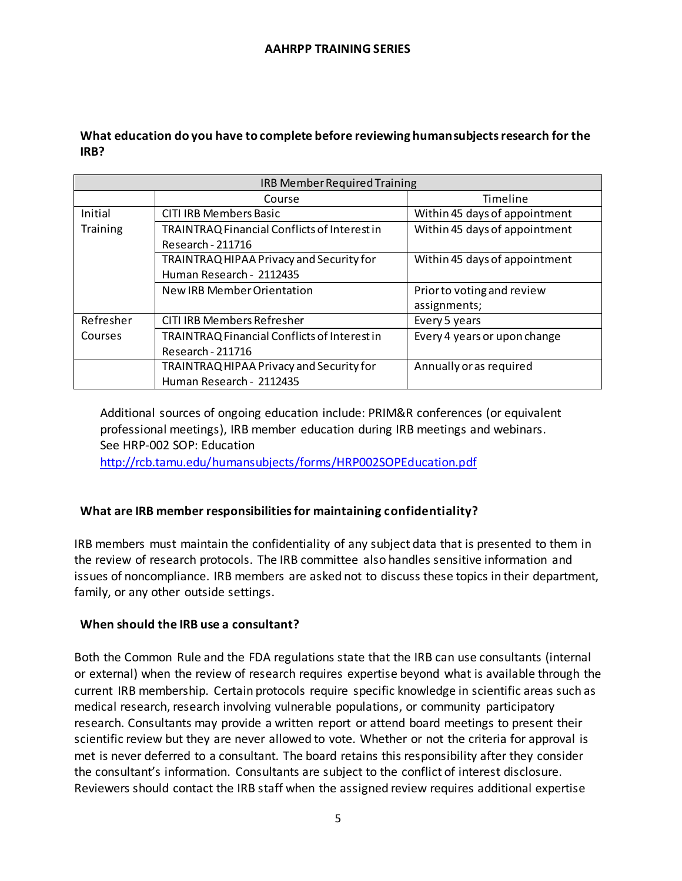# **What education do you have to complete before reviewing humansubjects research for the IRB?**

| IRB Member Required Training |                                              |                               |
|------------------------------|----------------------------------------------|-------------------------------|
|                              | Course                                       | Timeline                      |
| Initial                      | CITI IRB Members Basic                       | Within 45 days of appointment |
| Training                     | TRAINTRAQ Financial Conflicts of Interest in | Within 45 days of appointment |
|                              | Research - 211716                            |                               |
|                              | TRAINTRAQ HIPAA Privacy and Security for     | Within 45 days of appointment |
|                              | Human Research - 2112435                     |                               |
|                              | New IRB Member Orientation                   | Prior to voting and review    |
|                              |                                              | assignments;                  |
| Refresher                    | <b>CITI IRB Members Refresher</b>            | Every 5 years                 |
| Courses                      | TRAINTRAQ Financial Conflicts of Interest in | Every 4 years or upon change  |
|                              | Research - 211716                            |                               |
|                              | TRAINTRAQ HIPAA Privacy and Security for     | Annually or as required       |
|                              | Human Research - 2112435                     |                               |

Additional sources of ongoing education include: PRIM&R conferences (or equivalent professional meetings), IRB member education during IRB meetings and webinars. See HRP-002 SOP: Education

<http://rcb.tamu.edu/humansubjects/forms/HRP002SOPEducation.pdf>

# **What are IRB member responsibilities for maintaining confidentiality?**

IRB members must maintain the confidentiality of any subject data that is presented to them in the review of research protocols. The IRB committee also handles sensitive information and issues of noncompliance. IRB members are asked not to discuss these topics in their department, family, or any other outside settings.

## **When should the IRB use a consultant?**

Both the Common Rule and the FDA regulations state that the IRB can use consultants (internal or external) when the review of research requires expertise beyond what is available through the current IRB membership. Certain protocols require specific knowledge in scientific areas such as medical research, research involving vulnerable populations, or community participatory research. Consultants may provide a written report or attend board meetings to present their scientific review but they are never allowed to vote. Whether or not the criteria for approval is met is never deferred to a consultant. The board retains this responsibility after they consider the consultant's information. Consultants are subject to the conflict of interest disclosure. Reviewers should contact the IRB staff when the assigned review requires additional expertise